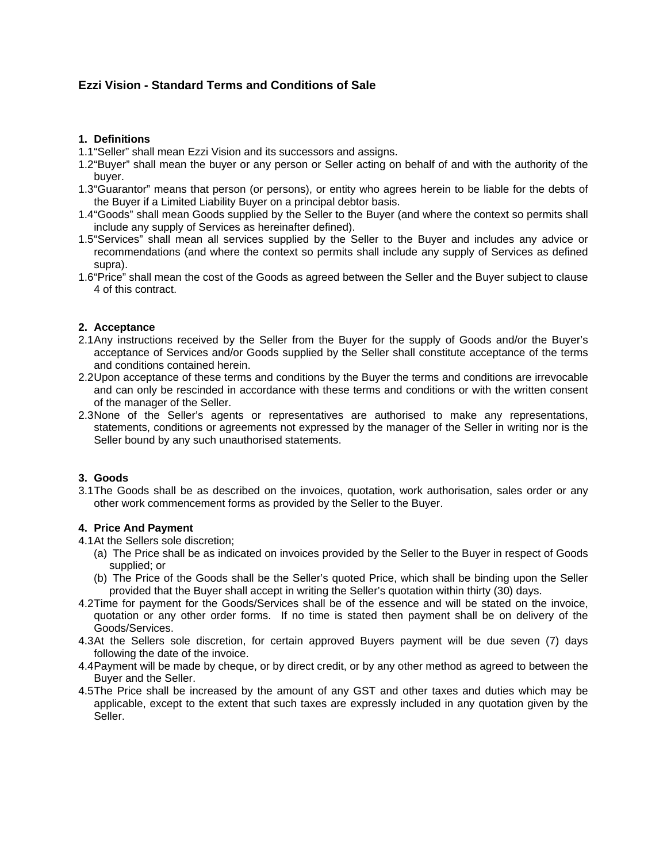# **Ezzi Vision - Standard Terms and Conditions of Sale**

#### **1. Definitions**

1.1 "Seller" shall mean Ezzi Vision and its successors and assigns.

- 1.2 "Buyer" shall mean the buyer or any person or Seller acting on behalf of and with the authority of the buyer.
- 1.3 "Guarantor" means that person (or persons), or entity who agrees herein to be liable for the debts of the Buyer if a Limited Liability Buyer on a principal debtor basis.
- 1.4 "Goods" shall mean Goods supplied by the Seller to the Buyer (and where the context so permits shall include any supply of Services as hereinafter defined).
- 1.5 "Services" shall mean all services supplied by the Seller to the Buyer and includes any advice or recommendations (and where the context so permits shall include any supply of Services as defined supra).
- 1.6 "Price" shall mean the cost of the Goods as agreed between the Seller and the Buyer subject to clause 4 of this contract.

#### **2. Acceptance**

- 2.1 Any instructions received by the Seller from the Buyer for the supply of Goods and/or the Buyer's acceptance of Services and/or Goods supplied by the Seller shall constitute acceptance of the terms and conditions contained herein.
- 2.2 Upon acceptance of these terms and conditions by the Buyer the terms and conditions are irrevocable and can only be rescinded in accordance with these terms and conditions or with the written consent of the manager of the Seller.
- 2.3 None of the Seller's agents or representatives are authorised to make any representations, statements, conditions or agreements not expressed by the manager of the Seller in writing nor is the Seller bound by any such unauthorised statements.

#### **3. Goods**

3.1 The Goods shall be as described on the invoices, quotation, work authorisation, sales order or any other work commencement forms as provided by the Seller to the Buyer.

#### **4. Price And Payment**

- 4.1 At the Sellers sole discretion;
	- (a) The Price shall be as indicated on invoices provided by the Seller to the Buyer in respect of Goods supplied; or
	- (b) The Price of the Goods shall be the Seller's quoted Price, which shall be binding upon the Seller provided that the Buyer shall accept in writing the Seller's quotation within thirty (30) days.
- 4.2 Time for payment for the Goods/Services shall be of the essence and will be stated on the invoice, quotation or any other order forms. If no time is stated then payment shall be on delivery of the Goods/Services.
- 4.3 At the Sellers sole discretion, for certain approved Buyers payment will be due seven (7) days following the date of the invoice.
- 4.4 Payment will be made by cheque, or by direct credit, or by any other method as agreed to between the Buyer and the Seller.
- 4.5 The Price shall be increased by the amount of any GST and other taxes and duties which may be applicable, except to the extent that such taxes are expressly included in any quotation given by the Seller.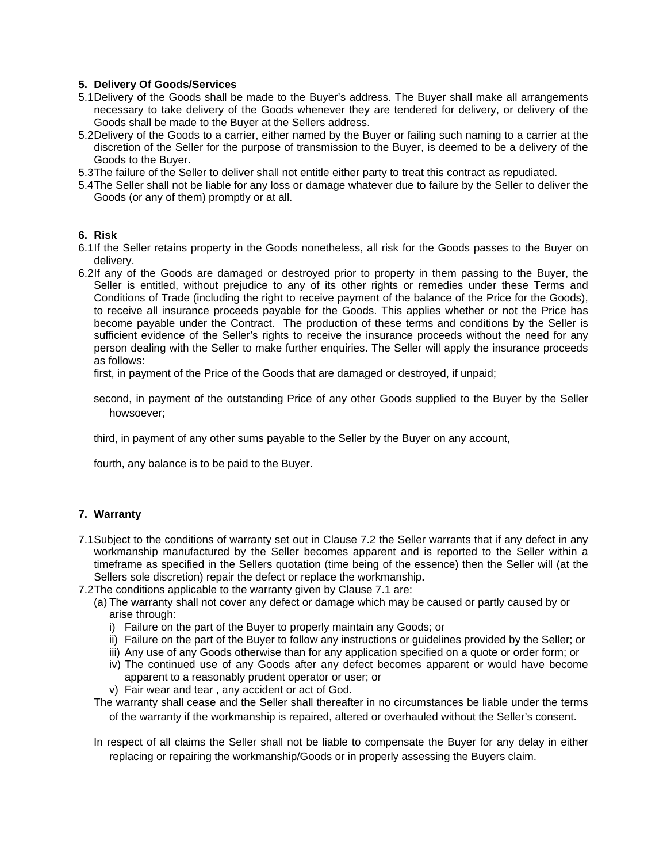### **5. Delivery Of Goods/Services**

- 5.1 Delivery of the Goods shall be made to the Buyer's address. The Buyer shall make all arrangements necessary to take delivery of the Goods whenever they are tendered for delivery, or delivery of the Goods shall be made to the Buyer at the Sellers address.
- 5.2 Delivery of the Goods to a carrier, either named by the Buyer or failing such naming to a carrier at the discretion of the Seller for the purpose of transmission to the Buyer, is deemed to be a delivery of the Goods to the Buyer.
- 5.3 The failure of the Seller to deliver shall not entitle either party to treat this contract as repudiated.
- 5.4 The Seller shall not be liable for any loss or damage whatever due to failure by the Seller to deliver the Goods (or any of them) promptly or at all.

### **6. Risk**

- 6.1 If the Seller retains property in the Goods nonetheless, all risk for the Goods passes to the Buyer on delivery.
- 6.2 If any of the Goods are damaged or destroyed prior to property in them passing to the Buyer, the Seller is entitled, without prejudice to any of its other rights or remedies under these Terms and Conditions of Trade (including the right to receive payment of the balance of the Price for the Goods), to receive all insurance proceeds payable for the Goods. This applies whether or not the Price has become payable under the Contract. The production of these terms and conditions by the Seller is sufficient evidence of the Seller's rights to receive the insurance proceeds without the need for any person dealing with the Seller to make further enquiries. The Seller will apply the insurance proceeds as follows:

first, in payment of the Price of the Goods that are damaged or destroyed, if unpaid;

second, in payment of the outstanding Price of any other Goods supplied to the Buyer by the Seller howsoever;

third, in payment of any other sums payable to the Seller by the Buyer on any account,

fourth, any balance is to be paid to the Buyer.

#### **7. Warranty**

- 7.1 Subject to the conditions of warranty set out in Clause 7.2 the Seller warrants that if any defect in any workmanship manufactured by the Seller becomes apparent and is reported to the Seller within a timeframe as specified in the Sellers quotation (time being of the essence) then the Seller will (at the Sellers sole discretion) repair the defect or replace the workmanship**.**
- 7.2 The conditions applicable to the warranty given by Clause 7.1 are:
	- (a) The warranty shall not cover any defect or damage which may be caused or partly caused by or arise through:
		- i) Failure on the part of the Buyer to properly maintain any Goods; or
		- ii) Failure on the part of the Buyer to follow any instructions or guidelines provided by the Seller; or
		- iii) Any use of any Goods otherwise than for any application specified on a quote or order form; or
		- iv) The continued use of any Goods after any defect becomes apparent or would have become apparent to a reasonably prudent operator or user; or
		- v) Fair wear and tear , any accident or act of God.
	- The warranty shall cease and the Seller shall thereafter in no circumstances be liable under the terms of the warranty if the workmanship is repaired, altered or overhauled without the Seller's consent.
	- In respect of all claims the Seller shall not be liable to compensate the Buyer for any delay in either replacing or repairing the workmanship/Goods or in properly assessing the Buyers claim.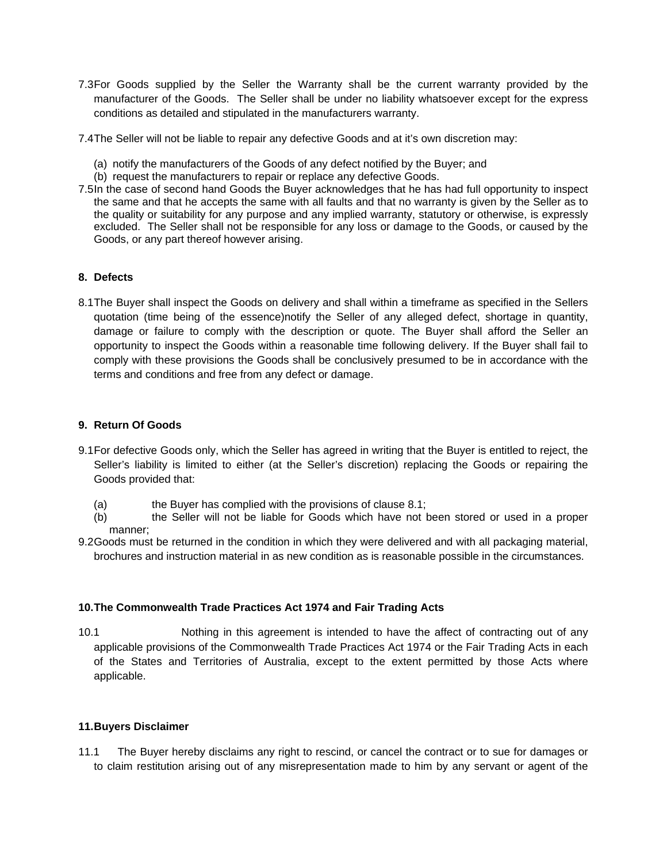- 7.3 For Goods supplied by the Seller the Warranty shall be the current warranty provided by the manufacturer of the Goods. The Seller shall be under no liability whatsoever except for the express conditions as detailed and stipulated in the manufacturers warranty.
- 7.4 The Seller will not be liable to repair any defective Goods and at it's own discretion may:
	- (a) notify the manufacturers of the Goods of any defect notified by the Buyer; and
	- (b) request the manufacturers to repair or replace any defective Goods.
- 7.5 In the case of second hand Goods the Buyer acknowledges that he has had full opportunity to inspect the same and that he accepts the same with all faults and that no warranty is given by the Seller as to the quality or suitability for any purpose and any implied warranty, statutory or otherwise, is expressly excluded. The Seller shall not be responsible for any loss or damage to the Goods, or caused by the Goods, or any part thereof however arising.

## **8. Defects**

8.1 The Buyer shall inspect the Goods on delivery and shall within a timeframe as specified in the Sellers quotation (time being of the essence)notify the Seller of any alleged defect, shortage in quantity, damage or failure to comply with the description or quote. The Buyer shall afford the Seller an opportunity to inspect the Goods within a reasonable time following delivery. If the Buyer shall fail to comply with these provisions the Goods shall be conclusively presumed to be in accordance with the terms and conditions and free from any defect or damage.

### **9. Return Of Goods**

- 9.1 For defective Goods only, which the Seller has agreed in writing that the Buyer is entitled to reject, the Seller's liability is limited to either (at the Seller's discretion) replacing the Goods or repairing the Goods provided that:
	- (a) the Buyer has complied with the provisions of clause 8.1;
	- (b) the Seller will not be liable for Goods which have not been stored or used in a proper manner;
- 9.2 Goods must be returned in the condition in which they were delivered and with all packaging material, brochures and instruction material in as new condition as is reasonable possible in the circumstances.

## **10. The Commonwealth Trade Practices Act 1974 and Fair Trading Acts**

10.1 Nothing in this agreement is intended to have the affect of contracting out of any applicable provisions of the Commonwealth Trade Practices Act 1974 or the Fair Trading Acts in each of the States and Territories of Australia, except to the extent permitted by those Acts where applicable.

#### **11. Buyers Disclaimer**

11.1 The Buyer hereby disclaims any right to rescind, or cancel the contract or to sue for damages or to claim restitution arising out of any misrepresentation made to him by any servant or agent of the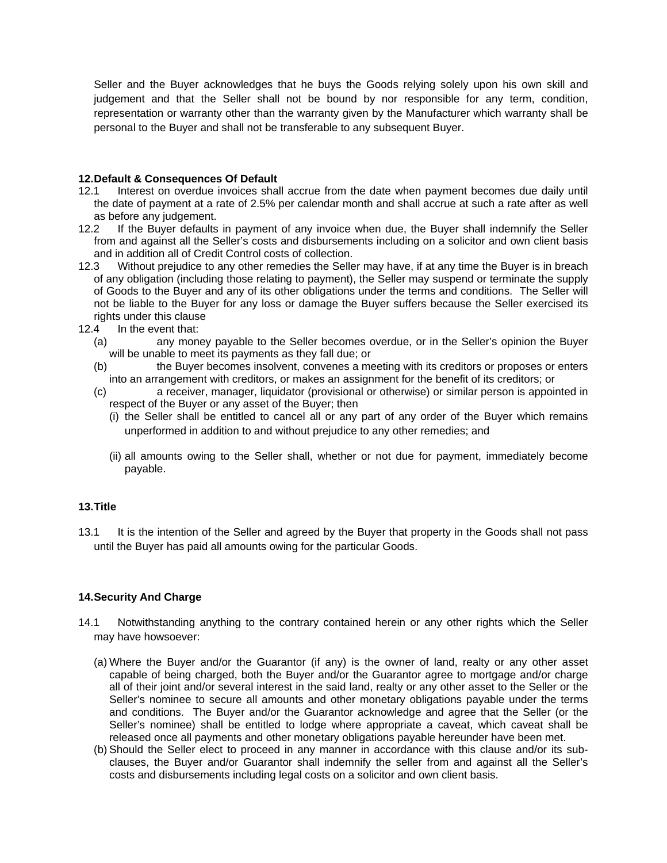Seller and the Buyer acknowledges that he buys the Goods relying solely upon his own skill and judgement and that the Seller shall not be bound by nor responsible for any term, condition, representation or warranty other than the warranty given by the Manufacturer which warranty shall be personal to the Buyer and shall not be transferable to any subsequent Buyer.

### **12. Default & Consequences Of Default**

- 12.1 Interest on overdue invoices shall accrue from the date when payment becomes due daily until the date of payment at a rate of 2.5% per calendar month and shall accrue at such a rate after as well as before any judgement.
- 12.2 If the Buyer defaults in payment of any invoice when due, the Buyer shall indemnify the Seller from and against all the Seller's costs and disbursements including on a solicitor and own client basis and in addition all of Credit Control costs of collection.
- 12.3 Without prejudice to any other remedies the Seller may have, if at any time the Buyer is in breach of any obligation (including those relating to payment), the Seller may suspend or terminate the supply of Goods to the Buyer and any of its other obligations under the terms and conditions. The Seller will not be liable to the Buyer for any loss or damage the Buyer suffers because the Seller exercised its rights under this clause
- 12.4 In the event that:
	- (a) any money payable to the Seller becomes overdue, or in the Seller's opinion the Buyer will be unable to meet its payments as they fall due; or
	- (b) the Buyer becomes insolvent, convenes a meeting with its creditors or proposes or enters into an arrangement with creditors, or makes an assignment for the benefit of its creditors; or
	- (c) a receiver, manager, liquidator (provisional or otherwise) or similar person is appointed in respect of the Buyer or any asset of the Buyer; then
		- (i) the Seller shall be entitled to cancel all or any part of any order of the Buyer which remains unperformed in addition to and without prejudice to any other remedies; and
		- (ii) all amounts owing to the Seller shall, whether or not due for payment, immediately become payable.

## **13. Title**

13.1 It is the intention of the Seller and agreed by the Buyer that property in the Goods shall not pass until the Buyer has paid all amounts owing for the particular Goods.

## **14. Security And Charge**

- 14.1 Notwithstanding anything to the contrary contained herein or any other rights which the Seller may have howsoever:
	- (a) Where the Buyer and/or the Guarantor (if any) is the owner of land, realty or any other asset capable of being charged, both the Buyer and/or the Guarantor agree to mortgage and/or charge all of their joint and/or several interest in the said land, realty or any other asset to the Seller or the Seller's nominee to secure all amounts and other monetary obligations payable under the terms and conditions. The Buyer and/or the Guarantor acknowledge and agree that the Seller (or the Seller's nominee) shall be entitled to lodge where appropriate a caveat, which caveat shall be released once all payments and other monetary obligations payable hereunder have been met.
	- (b) Should the Seller elect to proceed in any manner in accordance with this clause and/or its subclauses, the Buyer and/or Guarantor shall indemnify the seller from and against all the Seller's costs and disbursements including legal costs on a solicitor and own client basis.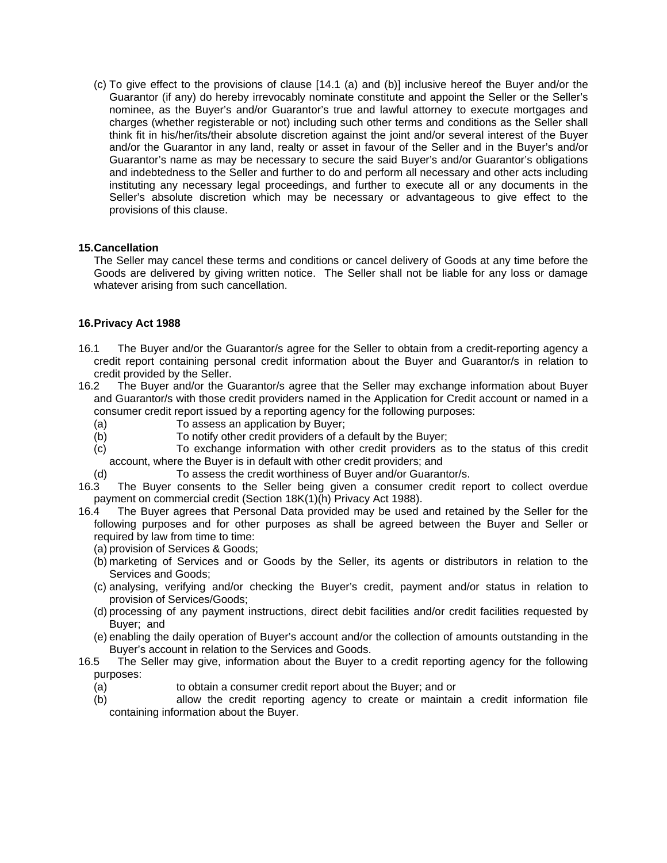(c) To give effect to the provisions of clause [14.1 (a) and (b)] inclusive hereof the Buyer and/or the Guarantor (if any) do hereby irrevocably nominate constitute and appoint the Seller or the Seller's nominee, as the Buyer's and/or Guarantor's true and lawful attorney to execute mortgages and charges (whether registerable or not) including such other terms and conditions as the Seller shall think fit in his/her/its/their absolute discretion against the joint and/or several interest of the Buyer and/or the Guarantor in any land, realty or asset in favour of the Seller and in the Buyer's and/or Guarantor's name as may be necessary to secure the said Buyer's and/or Guarantor's obligations and indebtedness to the Seller and further to do and perform all necessary and other acts including instituting any necessary legal proceedings, and further to execute all or any documents in the Seller's absolute discretion which may be necessary or advantageous to give effect to the provisions of this clause.

### **15. Cancellation**

 The Seller may cancel these terms and conditions or cancel delivery of Goods at any time before the Goods are delivered by giving written notice. The Seller shall not be liable for any loss or damage whatever arising from such cancellation.

## **16. Privacy Act 1988**

- 16.1 The Buyer and/or the Guarantor/s agree for the Seller to obtain from a credit-reporting agency a credit report containing personal credit information about the Buyer and Guarantor/s in relation to credit provided by the Seller.
- 16.2 The Buyer and/or the Guarantor/s agree that the Seller may exchange information about Buyer and Guarantor/s with those credit providers named in the Application for Credit account or named in a consumer credit report issued by a reporting agency for the following purposes:
	- (a) To assess an application by Buyer;
	- (b) To notify other credit providers of a default by the Buyer;
	- (c) To exchange information with other credit providers as to the status of this credit account, where the Buyer is in default with other credit providers; and
	- (d) To assess the credit worthiness of Buyer and/or Guarantor/s.
- 16.3 The Buyer consents to the Seller being given a consumer credit report to collect overdue payment on commercial credit (Section 18K(1)(h) Privacy Act 1988).
- 16.4 The Buyer agrees that Personal Data provided may be used and retained by the Seller for the following purposes and for other purposes as shall be agreed between the Buyer and Seller or required by law from time to time:
	- (a) provision of Services & Goods;
	- (b) marketing of Services and or Goods by the Seller, its agents or distributors in relation to the Services and Goods;
	- (c) analysing, verifying and/or checking the Buyer's credit, payment and/or status in relation to provision of Services/Goods;
	- (d) processing of any payment instructions, direct debit facilities and/or credit facilities requested by Buyer; and
	- (e) enabling the daily operation of Buyer's account and/or the collection of amounts outstanding in the Buyer's account in relation to the Services and Goods.
- 16.5 The Seller may give, information about the Buyer to a credit reporting agency for the following purposes:
	- (a) to obtain a consumer credit report about the Buyer; and or
	- (b) allow the credit reporting agency to create or maintain a credit information file containing information about the Buyer.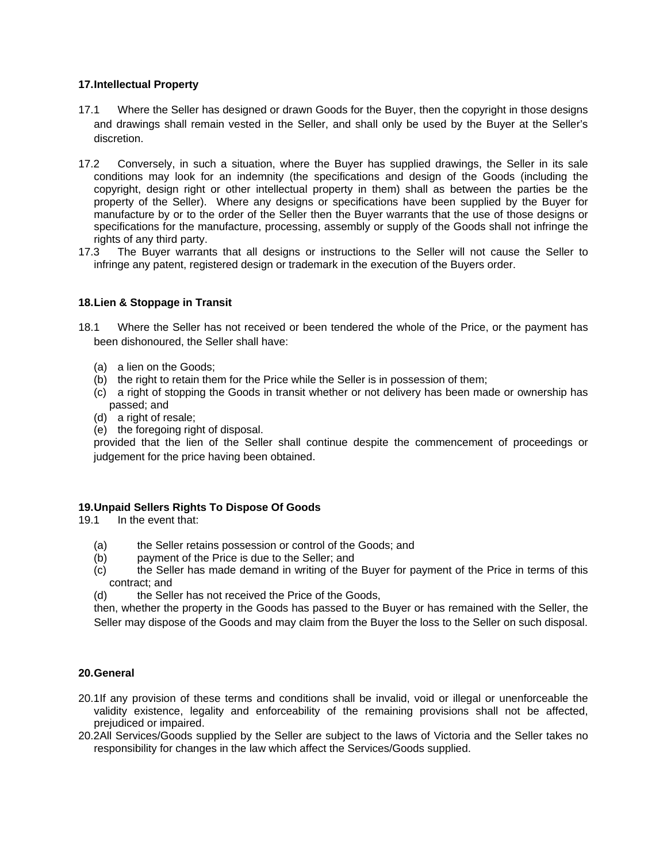### **17. Intellectual Property**

- 17.1 Where the Seller has designed or drawn Goods for the Buyer, then the copyright in those designs and drawings shall remain vested in the Seller, and shall only be used by the Buyer at the Seller's discretion.
- 17.2 Conversely, in such a situation, where the Buyer has supplied drawings, the Seller in its sale conditions may look for an indemnity (the specifications and design of the Goods (including the copyright, design right or other intellectual property in them) shall as between the parties be the property of the Seller). Where any designs or specifications have been supplied by the Buyer for manufacture by or to the order of the Seller then the Buyer warrants that the use of those designs or specifications for the manufacture, processing, assembly or supply of the Goods shall not infringe the rights of any third party.
- 17.3 The Buyer warrants that all designs or instructions to the Seller will not cause the Seller to infringe any patent, registered design or trademark in the execution of the Buyers order.

## **18. Lien & Stoppage in Transit**

- 18.1 Where the Seller has not received or been tendered the whole of the Price, or the payment has been dishonoured, the Seller shall have:
	- (a) a lien on the Goods;
	- (b) the right to retain them for the Price while the Seller is in possession of them;
	- (c) a right of stopping the Goods in transit whether or not delivery has been made or ownership has passed; and
	- (d) a right of resale;
	- (e) the foregoing right of disposal.

provided that the lien of the Seller shall continue despite the commencement of proceedings or judgement for the price having been obtained.

#### **19. Unpaid Sellers Rights To Dispose Of Goods**

19.1 In the event that:

- (a) the Seller retains possession or control of the Goods; and
- (b) payment of the Price is due to the Seller; and
- (c) the Seller has made demand in writing of the Buyer for payment of the Price in terms of this contract; and
- (d) the Seller has not received the Price of the Goods,

 then, whether the property in the Goods has passed to the Buyer or has remained with the Seller, the Seller may dispose of the Goods and may claim from the Buyer the loss to the Seller on such disposal.

#### **20. General**

- 20.1 If any provision of these terms and conditions shall be invalid, void or illegal or unenforceable the validity existence, legality and enforceability of the remaining provisions shall not be affected, prejudiced or impaired.
- 20.2 All Services/Goods supplied by the Seller are subject to the laws of Victoria and the Seller takes no responsibility for changes in the law which affect the Services/Goods supplied.